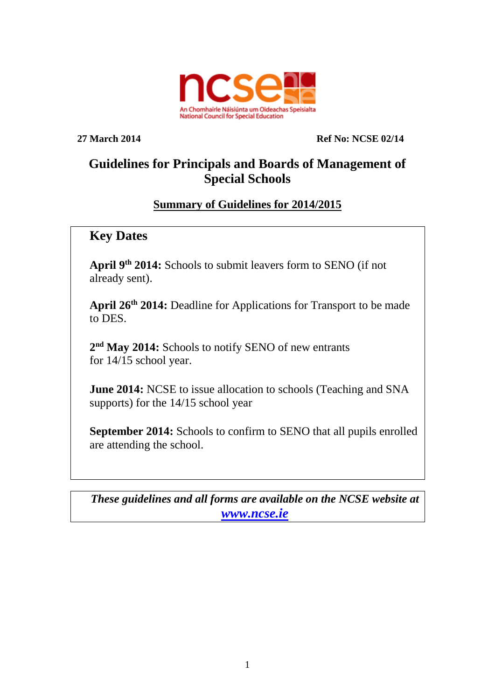

**27 March 2014 Ref No: NCSE 02/14**

# **Guidelines for Principals and Boards of Management of Special Schools**

### **Summary of Guidelines for 2014/2015**

## **Key Dates**

**April 9 th 2014:** Schools to submit leavers form to SENO (if not already sent).

**April 26th 2014:** Deadline for Applications for Transport to be made to DES.

**2 nd May 2014:** Schools to notify SENO of new entrants for 14/15 school year.

**June 2014:** NCSE to issue allocation to schools (Teaching and SNA supports) for the 14/15 school year

**September 2014:** Schools to confirm to SENO that all pupils enrolled are attending the school.

*These guidelines and all forms are available on the NCSE website at [www.ncse.ie](http://www.ncse.ie/)*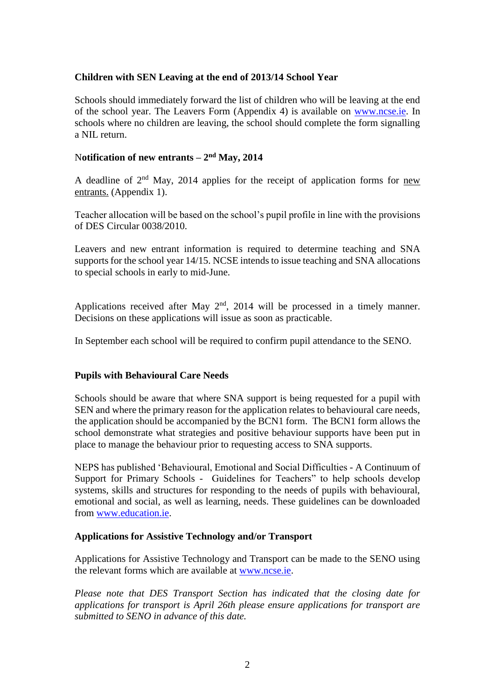#### **Children with SEN Leaving at the end of 2013/14 School Year**

Schools should immediately forward the list of children who will be leaving at the end of the school year. The Leavers Form (Appendix 4) is available on [www.ncse.ie.](http://www.ncse.ie/) In schools where no children are leaving, the school should complete the form signalling a NIL return.

#### N**otification of new entrants – 2 nd May, 2014**

A deadline of  $2<sup>nd</sup>$  May, 2014 applies for the receipt of application forms for new entrants. (Appendix 1).

Teacher allocation will be based on the school's pupil profile in line with the provisions of DES Circular 0038/2010.

Leavers and new entrant information is required to determine teaching and SNA supports for the school year 14/15. NCSE intends to issue teaching and SNA allocations to special schools in early to mid-June.

Applications received after May  $2<sup>nd</sup>$ , 2014 will be processed in a timely manner. Decisions on these applications will issue as soon as practicable.

In September each school will be required to confirm pupil attendance to the SENO.

#### **Pupils with Behavioural Care Needs**

Schools should be aware that where SNA support is being requested for a pupil with SEN and where the primary reason for the application relates to behavioural care needs, the application should be accompanied by the BCN1 form. The BCN1 form allows the school demonstrate what strategies and positive behaviour supports have been put in place to manage the behaviour prior to requesting access to SNA supports.

NEPS has published 'Behavioural, Emotional and Social Difficulties - A Continuum of Support for Primary Schools - Guidelines for Teachers" to help schools develop systems, skills and structures for responding to the needs of pupils with behavioural, emotional and social, as well as learning, needs. These guidelines can be downloaded from [www.education.ie.](http://www.education.ie/)

#### **Applications for Assistive Technology and/or Transport**

Applications for Assistive Technology and Transport can be made to the SENO using the relevant forms which are available at [www.ncse.ie.](http://www.ncse.ie/)

*Please note that DES Transport Section has indicated that the closing date for applications for transport is April 26th please ensure applications for transport are submitted to SENO in advance of this date.*